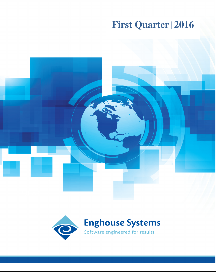# **First Quarter | 2016**



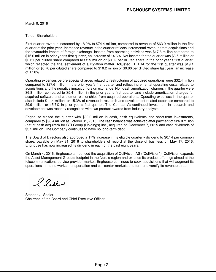March 9, 2016

To our Shareholders,

First quarter revenue increased by 18.0% to \$74.4 million, compared to revenue of \$63.0 million in the first quarter of the prior year. Increased revenue in the quarter reflects incremental revenue from acquisitions and the favourable impact of foreign exchange. Income from operating activities was \$17.8 million compared to \$15.6 million in prior year's first quarter, an increase of 14.6%. Net income for the quarter was \$8.5 million or \$0.31 per diluted share compared to \$2.5 million or \$0.09 per diluted share in the prior year's first quarter, which reflected the final settlement of a litigation matter. Adjusted EBITDA for the first quarter was \$19.1 million or \$0.70 per diluted share compared to \$16.2 million or \$0.60 per diluted share last year, an increase of 17.8%.

Operating expenses before special charges related to restructuring of acquired operations were \$32.4 million compared to \$27.6 million in the prior year's first quarter and reflect incremental operating costs related to acquisitions and the negative impact of foreign exchange. Non-cash amortization charges in the quarter were \$6.8 million compared to \$5.4 million in the prior year's first quarter and include amortization charges for acquired software and customer relationships from acquired operations. Operating expenses in the quarter also include \$11.4 million, or 15.3% of revenue in research and development related expenses compared to \$9.9 million or 15.7% in prior year's first quarter. The Company's continued investment in research and development was recently recognized with two product awards from industry analysts.

Enghouse closed the quarter with \$80.0 million in cash, cash equivalents and short-term investments, compared to \$98.4 million at October 31, 2015. The cash balance was achieved after payment of \$26.0 million (net of cash acquired) for CTI Group (Holdings) Inc., acquired on December 7, 2015 and cash dividends of \$3.2 million. The Company continues to have no long-term debt.

The Board of Directors also approved a 17% increase in its eligible quarterly dividend to \$0.14 per common share, payable on May 31, 2016 to shareholders of record at the close of business on May 17, 2016. Enghouse has now increased its dividend in each of the past eight years.

On March 4, 2016, Enghouse announced the acquisition of CellVision AS ("CellVision"). CellVision expands the Asset Management Group's footprint in the Nordic region and extends its product offerings aimed at the telecommunications service provider market. Enghouse continues to seek acquisitions that will augment its operations in the networks, transportation and call center markets and further diversify its revenue stream.

Pladler

Stephen J. Sadler Chairman of the Board and Chief Executive Officer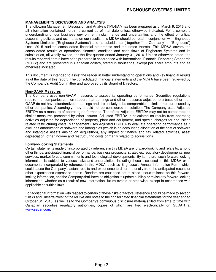# **MANAGEMENT'S DISCUSSION AND ANALYSIS**

The following Management Discussion and Analysis ("MD&A") has been prepared as of March 9, 2016 and all information contained herein is current as of that date unless otherwise indicated. For a complete understanding of our business environment, risks, trends and uncertainties and the effect of critical accounting policies and estimates on our results, this MD&A should be read in conjunction with Enghouse Systems Limited's ("Enghouse Systems") and its subsidiaries ( together "the Company" or "Enghouse") fiscal 2015 audited consolidated financial statements and the notes thereto. This MD&A covers the consolidated results of operations, financial condition and cash flows of Enghouse Systems and its subsidiaries, all wholly owned, for the first quarter ended January 31, 2016. Unless otherwise noted, the results reported herein have been prepared in accordance with International Financial Reporting Standards ("IFRS") and are presented in Canadian dollars, stated in thousands, except per share amounts and as otherwise indicated.

This document is intended to assist the reader in better understanding operations and key financial results as of the date of this report. The consolidated financial statements and the MD&A have been reviewed by the Company's Audit Committee and approved by its Board of Directors.

# **Non-GAAP Measures**

The Company uses non-GAAP measures to assess its operating performance. Securities regulations require that companies caution readers that earnings and other measures adjusted to a basis other than GAAP do not have standardized meanings and are unlikely to be comparable to similar measures used by other companies. Accordingly, they should not be considered in isolation. The Company uses Adjusted EBITDA as a measure of operating performance. Therefore, Adjusted EBITDA may not be comparable to similar measures presented by other issuers. Adjusted EBITDA is calculated as results from operating activities adjusted for depreciation of property, plant and equipment, and special charges for acquisition related restructuring costs. Management uses Adjusted EBITDA to evaluate operating performance as it excludes amortization of software and intangibles (which is an accounting allocation of the cost of software and intangible assets arising on acquisition), any impact of finance and tax related activities, asset depreciation, other income and restructuring costs primarily related to acquisitions.

# **Forward-looking Statements**

Certain statements made or incorporated by reference in this MD&A are forward-looking and relate to, among other things, anticipated financial performance, business prospects, strategies, regulatory developments, new services, market forces, commitments and technological developments. By its nature, such forward-looking information is subject to various risks and uncertainties, including those discussed in this MD&A or in documents incorporated by reference in this MD&A, such as Enghouse's Annual Information Form, which could cause the Company's actual results and experience to differ materially from the anticipated results or other expectations expressed herein. Readers are cautioned not to place undue reliance on this forwardlooking information, and the Company shall have no obligation to update publicly or revise any forward-looking information, whether as a result of new information, future events or otherwise, except in accordance with applicable securities laws.

For additional information with respect to certain of these risks or factors, reference should be made to section "Risks and Uncertainties" of the MD&A and notes to the consolidated financial statements for the year ended October 31, 2015, as well as to the Company's continuous disclosure materials filed from time to time with Canadian securities regulatory authorities, copies of which are filed electronically on SEDAR at www.sedar.com.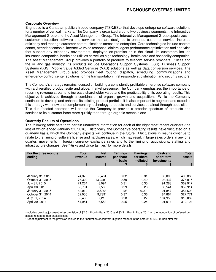# **ENGHOUSE SYSTEMS LIMITED**

# **Corporate Overview**

Enghouse is a Canadian publicly traded company (TSX:ESL) that develops enterprise software solutions for a number of vertical markets. The Company is organized around two business segments: the Interactive Management Group and the Asset Management Group. The Interactive Management Group specializes in customer interaction software and services that are designed to enhance customer service, increase efficiency and manage customer communications across the enterprise. Core technologies include contact center, attendant console, interactive voice response, dialers, agent performance optimization and analytics that support any telephony environment, deployed on-premise or in the cloud. Its customers include insurance companies, banks and utilities as well as high technology, health care and hospitality companies. The Asset Management Group provides a portfolio of products to telecom service providers, utilities and the oil and gas industry. Its products include Operations Support Systems (OSS), Business Support Systems (BSS), Mobile Value Added Services (VAS) solutions as well as data conversion services. The Asset Management Group also provides fleet routing, dispatch, scheduling, communications and emergency control center solutions for the transportation, first responders, distribution and security sectors.

The Company's strategy remains focused on building a consistently profitable enterprise software company with a diversified product suite and global market presence. The Company emphasizes the importance of recurring revenue streams to increase shareholder value and the predictability of its operating results. This objective is achieved through a combination of organic growth and acquisitions. While the Company continues to develop and enhance its existing product portfolio, it is also important to augment and expedite this strategy with new and complementary technology, products and services obtained through acquisition. This dual-faceted approach will enable the Company to provide a broader spectrum of products and services to its customer base more quickly than through organic means alone.

# **Quarterly Results of Operations**

The following table sets forth certain unaudited information for each of the eight most recent quarters (the last of which ended January 31, 2016). Historically, the Company's operating results have fluctuated on a quarterly basis, which the Company expects will continue in the future. Fluctuations in results continue to relate to the timing of software license and hardware sales, which may result in large sales orders in any one quarter, movements in foreign currency exchange rates and to the timing of acquisitions, staffing and infrastructure changes. See "Risks and Uncertainties" for more details.

| For the three months<br>ending | <b>Total</b><br>revenue | <b>Net</b><br>income | <b>Earnings</b><br>per share<br>– basic | <b>Earnings</b><br>per share<br>- diluted | <b>Cash and</b><br>short-term<br>investments | <b>Total</b><br>assets |
|--------------------------------|-------------------------|----------------------|-----------------------------------------|-------------------------------------------|----------------------------------------------|------------------------|
|                                | \$                      | \$                   | \$                                      | \$                                        | \$                                           | \$                     |
|                                |                         |                      |                                         |                                           |                                              |                        |
| January 31, 2016               | 74.370                  | 8.461                | 0.32                                    | 0.31                                      | 80,008                                       | 409,866                |
| October 31, 2015               | 76.329                  | 13.229^              | 0.50                                    | 0.49                                      | 98.437                                       | 376.015                |
| July 31, 2015                  | 71.264                  | 8.094                | 0.31                                    | 0.30                                      | 91.288                                       | 369,917                |
| April 30, 2015                 | 68.701                  | 7.568                | 0.29                                    | 0.28                                      | 88.541                                       | 352,914                |
| January 31, 2015               | 63.019                  | $2,539*$             | $0.10*$                                 | $0.09*$                                   | 101.847                                      | 354,628                |
| October 31, 2014               | 62,056                  | $9.739^$             | 0.37                                    | 0.36                                      | 84.864                                       | 327,771                |
| July 31, 2014                  | 55.488                  | 7.215                | 0.28                                    | 0.27                                      | 104.958                                      | 313.069                |
| April 30, 2014                 | 54.951                  | 6,558                | 0.25                                    | 0.24                                      | 101.014                                      | 312.124                |

^Includes credit adjustment to tax provision of \$2.5 million in fiscal 2015 and \$3.3 million in fiscal 2014 on the recognition of deferred tax assets related to non-capital losses

\*Net of adjustment to the provision related to the finalization of contract litigation matters in the amount of \$5.0 million after tax.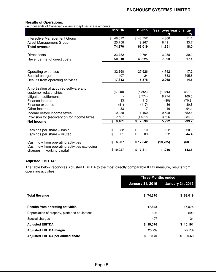# **Results of Operations:**

(in thousands of Canadian dollars except per share amounts)

|                                                                                      | Q1/2016      | Q1/2015     |           | Year over year change |  |  |
|--------------------------------------------------------------------------------------|--------------|-------------|-----------|-----------------------|--|--|
|                                                                                      |              |             | \$        | %                     |  |  |
| Interactive Management Group                                                         | \$<br>48,612 | \$43,752    | 4,860     | 11.1                  |  |  |
| Asset Management Group                                                               | 25,758       | 19,267      | 6,491     | 33.7                  |  |  |
| <b>Total revenue</b>                                                                 | 74,370       | 63,019      | 11,351    | 18.0                  |  |  |
| Direct costs                                                                         | 23,752       | 19,794      | 3,958     | 20.0                  |  |  |
| Revenue, net of direct costs                                                         | 50,618       | 43,225      | 7,393     | 17.1                  |  |  |
|                                                                                      |              |             |           |                       |  |  |
| Operating expenses                                                                   | 32,368       | 27,626      | 4,742     | 17.2                  |  |  |
| Special charges                                                                      | 407          | 24          | 383       | 1,595.8               |  |  |
| Results from operating activities                                                    | 17,843       | 15,575      | 2,268     | 14.6                  |  |  |
| Amortization of acquired software and                                                |              |             |           |                       |  |  |
| customer relationships                                                               | (6, 840)     | (5, 354)    | (1, 486)  | (27.8)                |  |  |
| Litigation settlements                                                               |              | (8,774)     | 8,774     | 100.0                 |  |  |
| Finance income                                                                       | 33           | 113         | (80)      | (70.8)                |  |  |
| Finance expense                                                                      | (81)         | (117)       | 36        | 30.8                  |  |  |
| Other income                                                                         | 33           | 17          | 16        | 94.1                  |  |  |
| Income before income taxes                                                           | 10,988       | 1,460       | 9,528     | 652.6                 |  |  |
| Provision for (recovery of) for income taxes                                         | 2,527        | (1,079)     | 3,606     | 334.2                 |  |  |
| <b>Net Income</b>                                                                    | 8,461<br>\$  | 2,539<br>\$ | 5,922     | 233.2                 |  |  |
| Earnings per share - basic                                                           | \$<br>0.32   | 0.10<br>\$  | 0.22      | 220.0                 |  |  |
| Earnings per share - diluted                                                         | \$<br>0.31   | \$<br>0.09  | 0.22      | 244.4                 |  |  |
| Cash flow from operating activities<br>Cash flow from operating activities excluding | 6,907<br>\$  | \$17,642    | (10, 735) | (60.8)                |  |  |
| changes in working capital                                                           | \$19,027     | \$7,811     | 11,216    | 143.6                 |  |  |

# **Adjusted EBITDA:**

The table below reconciles Adjusted EBITDA to the most directly comparable IFRS measure, results from operating activities:

|                                               | <b>Three Months ended</b> |                         |  |  |
|-----------------------------------------------|---------------------------|-------------------------|--|--|
|                                               | <b>January 31, 2016</b>   | <b>January 31, 2015</b> |  |  |
| <b>Total Revenue</b>                          | \$74,370                  | \$63,019                |  |  |
| <b>Results from operating activities</b>      | 17,843                    | 15,575                  |  |  |
| Depreciation of property, plant and equipment | 826                       | 592                     |  |  |
| Special charges                               | 407                       | 24                      |  |  |
| <b>Adjusted EBITDA</b>                        | \$19,076                  | \$16,191                |  |  |
| <b>Adjusted EBITDA margin</b>                 | 25.7%                     | 25.7%                   |  |  |
| <b>Adjusted EBITDA per diluted share</b>      | \$<br>0.70                | \$<br>0.60              |  |  |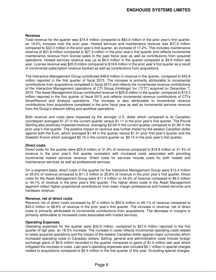# **Revenue**

Total revenue for the quarter was \$74.4 million compared to \$63.0 million in the prior year's first quarter, an 18.0% increase over the prior year. Hosted services and maintenance revenue was \$37.8 million compared to \$32.3 million in the prior year's first quarter, an increase of 17.2%. This includes maintenance revenue of \$31.8 million compared to \$27.4 million in the prior year's first quarter and reflects incremental maintenance revenue from license sales in the past fiscal year as well as contributions from acquired operations. Hosted services revenue was up at \$6.0 million in the quarter compared to \$4.9 million last year. License revenue was \$20.8 million compared to \$19.6 million in the prior year's first quarter as a result of incremental subscription revenue booked as well as contributions from acquisitions.

The Interactive Management Group contributed \$48.6 million in revenue in the quarter, compared to \$43.8 million reported in the first quarter of fiscal 2015. The increase is primarily attributable to incremental contributions from acquisitions completed in fiscal 2015 and reflects the incremental revenue contributions of the Interactive Management operations of CTI Group (Holdings) Inc ("CTI") acquired on December 7, 2015. The Asset Management Group contributed revenue of \$25.8 million in the quarter, compared to \$19.3 million reported in the first quarter of fiscal 2015 and reflects incremental revenue contributions of CTI's SmartRecord and Analysis operations. The increase is also attributable to incremental revenue contributions from acquisitions completed in the prior fiscal year as well as incremental services revenue from the Group's telecom billing and workflow operations.

Both revenue and costs were impacted by the stronger U.S. dollar which compared to its Canadian counterpart averaged \$1.37 in the current quarter versus \$1.11 in the prior year's first quarter. The Pound Sterling also positively impacted revenue, averaging \$2.04 in the current quarter compared to \$1.80 in the prior year's first quarter. The positive impact on revenue was further impact by the weaker Canadian dollar against both the Euro, which averaged \$1.49 in the quarter versus \$1.41 prior first year's quarter and the Swedish Kronor which averaged \$0.16 in the current quarter vs. \$0.15 in the prior year's first quarter.

# **Direct costs**

Direct costs for the quarter were \$23.8 million or 31.9% of revenue compared to \$19.8 million or 31.4% of revenue in the prior year's first quarter consistent with increased costs associated with providing incremental hosted services revenue. Direct costs for services include costs for both hosted and maintenance services as well as professional services.

On a segment basis, direct costs in the quarter for the Interactive Management Group were \$12.4 million or 25.6% of revenue compared to \$11.3 million or 25.8% of revenue in the prior year's first quarter. Direct costs for the Asset Management Group were \$11.4 million or 44.2% of revenue compared to \$8.5 million or 44.1% of revenue in the prior year's first quarter. The higher direct costs in the Asset Management segment reflect higher proportional contributions from lower margin professional and hosted services and hardware revenue.

# **Revenue, net of direct costs**

Revenue net of direct costs increased by \$7.4 million to \$50.6 million or 68.1% of revenue compared to \$43.2 million or 68.6% of revenue in the prior year's first quarter. The increase in revenue, net of direct costs is primarily attributable to incremental contributions from acquisitions. The decrease in margins is primarily attributable to increased costs associated with hosted services.

# **Operating Expenses**

Operating expenses for the quarter were \$32.8 million, compared to \$27.6 million reported in the first quarter of last year, an 18.5% increase. The increase in costs reflects incremental operating costs related to newly acquired operations and the impact of the weaker Canadian dollar against major currencies which increased operating costs in Canadian dollars. Selling, general and administrative costs include foreign exchange gains of \$2.6 million recorded in the quarter compared to gains of \$1.9 million last year which mitigated the increase in costs. Last year's operating expenses also included \$0.1 million in special charges related to acquisitions compared to \$0.4 million in the first quarter of this year. Excluding special charges,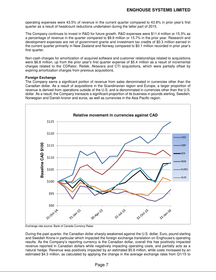operating expenses were 43.5% of revenue in the current quarter compared to 43.8% in prior year's first quarter as a result of headcount reductions undertaken during the latter part of 2015.

The Company continues to invest in R&D for future growth. R&D expenses were \$11.4 million or 15.3% as a percentage of revenue in the quarter compared to \$9.9 million or 15.7% in the prior year. Research and development expenses are net of government grants and investment tax credits of \$0.3 million earned in the current quarter primarily in New Zealand and Norway compared to \$0.1 million recorded in prior year's first quarter.

Non-cash charges for amortization of acquired software and customer relationships related to acquisitions were \$6.8 million, up from the prior year's first quarter expense of \$5.4 million as a result of incremental charges related to the CDRator, Reitek, Aktavara and CTI acquisitions, which were partially offset by expiring amortization charges from previous acquisitions.

# **Foreign Exchange**

The Company earns a significant portion of revenue from sales denominated in currencies other than the Canadian dollar. As a result of acquisitions in the Scandinavian region and Europe, a larger proportion of revenue is derived from operations outside of the U.S. and is denominated in currencies other than the U.S. dollar. As a result, the Company transacts a significant proportion of its business in pounds sterling, Swedish, Norwegian and Danish kronor and euros, as well as currencies in the Asia Pacific region.



Exchange rate source: Bank of Canada Currency Rates

During the past quarter, the Canadian dollar sharply weakened against the U.S. dollar, Euro, pound sterling and Swedish Krona in particular which impacted the foreign exchange translation on Enghouse's operating results. As the Company's reporting currency is the Canadian dollar, overall this has positively impacted revenue reported in Canadian dollars while negatively impacting operating costs, and partially acts as a natural hedge. Revenue was positively impacted by an estimated \$5.8 million, while costs increased by an estimated \$4.3 million, as calculated by applying the change in the average exchange rates from Q1/15 to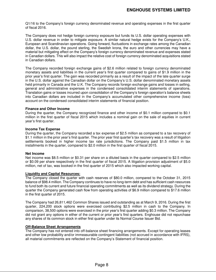Q1/16 to the Company's foreign currency denominated revenue and operating expenses in the first quarter of fiscal 2016.

The Company does not hedge foreign currency exposure but funds its U.S. dollar operating expenses with U.S. dollar revenue in order to mitigate exposure. A similar natural hedge exists for the Company's U.K., European and Scandinavian operations. Going forward, fluctuations in exchange rates among the Canadian dollar, the U.S. dollar, the pound sterling, the Swedish krona, the euro and other currencies may have a material but mitigating effect on the Company's foreign currency denominated revenue and expenses stated in Canadian dollars. This will also impact the relative cost of foreign currency denominated acquisitions stated in Canadian dollars.

The Company recorded foreign exchange gains of \$2.6 million related to foreign currency denominated monetary assets and liabilities in the current year's first quarter compared to gains of \$1.9 million in the prior year's first quarter. The gain was recorded primarily as a result of the impact of the late quarter surge in the U.S. dollar against the Canadian dollar on the Company's U.S. dollar denominated monetary assets held primarily in Canada and the U.K. The Company records foreign exchange gains and losses in selling, general and administrative expenses in the condensed consolidated interim statements of operations. Translation gains or losses incurred upon consolidation of the Company's foreign operation's balance sheets into Canadian dollars are included in the Company's accumulated other comprehensive income (loss) account on the condensed consolidated interim statements of financial position.

# **Finance and Other Income**

During the quarter, the Company recognized finance and other income of \$0.1 million compared to \$0.1 million in the first quarter of fiscal 2015 which includes a nominal gain on the sale of equities in current year's first quarter.

# **Income Tax Expense**

During the quarter, the Company recorded a tax expense of \$2.5 million as compared to a tax recovery of \$1.1 million in the prior year's first quarter. The prior year first quarter's tax recovery was a result of litigation settlements booked in higher income tax rate jurisdictions. The Company paid \$1.5 million in tax installments in the quarter, compared to \$2.0 million in the first quarter of fiscal 2015.

# **Net Income**

Net income was \$8.5 million or \$0.31 per share on a diluted basis in the quarter compared to \$2.5 million or \$0.09 per share respectively in the first quarter of fiscal 2015. A litigation provision adjustment of \$5.0 million, net of tax, was booked in the first quarter of 2015 which also impacted working capital.

# **Liquidity and Capital Resources:**

The Company closed the quarter with cash reserves of \$80.0 million, compared to the October 31, 2015 balance of \$98.4 million. The Company continues to have no long-term debt and has sufficient cash resources to fund both its current and future financial operating commitments as well as its dividend strategy. During the quarter the Company generated cash flow from operating activities of \$6.9 million compared to \$17.6 million in the first quarter of 2015.

The Company had 26,811,462 Common Shares issued and outstanding as at March 9, 2016. During the first quarter, 224,200 stock options were exercised contributing \$2.5 million in cash to the Company. In comparison, 38,500 options were exercised in the prior year's first quarter adding \$0.3 million. The Company did not grant any options in either of the current or prior year's first quarters. Enghouse did not repurchase any shares of its common stock in either first quarter under its Normal Course Issuer Bid.

# **Off-Balance Sheet Arrangements**

The Company has not entered into off-balance sheet financing arrangements. Except for operating leases and other low probability and/or immeasurable contingent liabilities (not accrued in accordance with IFRS), all material commitments are reflected on the Company's Statement of financial position.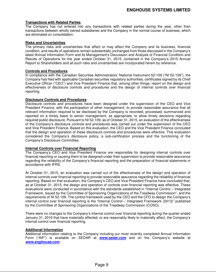# **Transactions with Related Parties**

The Company has not entered into any transactions with related parties during the year, other than transactions between wholly owned subsidiaries and the Company in the normal course of business, which are eliminated on consolidation.

# **Risks and Uncertainties**

The primary risks and uncertainties that affect or may affect the Company and its business, financial condition, and results of operations remain substantially unchanged from those discussed in the Company's latest Annual Information Form and its Management's Discussion and Analysis of Financial Condition and Results of Operations for the year ended October 31, 2015, contained in the Company's 2015 Annual Report to Shareholders and all such risks and uncertainties are incorporated herein by reference.

# **Controls and Procedures**

In compliance with the Canadian Securities Administrators' National Instrument 52-109 ("NI 52-109"), the Company has filed with applicable Canadian securities regulatory authorities, certificates signed by its Chief Executive Officer ("CEO") and Vice President Finance that, among other things, report on the design and effectiveness of disclosure controls and procedures and the design of internal controls over financial reporting.

# **Disclosure Controls and Procedures**

Disclosure controls and procedures have been designed under the supervision of the CEO and Vice President Finance, with the participation of other management, to provide reasonable assurance that all relevant information required to be disclosed by the Company is recorded, processed, summarized and reported on a timely basis to senior management, as appropriate, to allow timely decisions regarding required public disclosure. Pursuant to NI 52-109, as of October 31, 2015, an evaluation of the effectiveness of the Company's disclosure controls and procedures was carried out under the supervision of the CEO and Vice President Finance. Based on this evaluation, the CEO and the Vice President Finance concluded that the design and operation of these disclosure controls and procedures were effective. This evaluation considered the Company's disclosure policy, a sub-certification process and the functioning of the Company's Disclosure Committee.

# **Internal Controls over Financial Reporting**

The Company's CEO and Vice President Finance are responsible for designing internal controls over financial reporting or causing them to be designed under their supervision to provide reasonable assurance regarding the reliability of the Company's financial reporting and the preparation of financial statements in accordance with IFRS.

At October 31, 2015, an evaluation was carried out of the effectiveness of the design and operation of internal controls over financial reporting to provide reasonable assurance regarding the reliability of financial reporting. Based on that evaluation, the Company's CEO and Vice President Finance have concluded that, as at October 31, 2015, the design and operation of controls over financial reporting was effective. These evaluations were conducted in accordance with the standards established in "Internal Control – Integrated Framework, issued by the Committee of Sponsoring Organizations of the Treadway Commission", and the requirements of NI 52-109. The control framework used by the CEO and the CFO to design the Company's internal control over financial reporting is the "Internal Control – Integrated Framework (2013)" published by the Committee of Sponsoring Organizations of the Treadway Commission (COSO).

There were no changes to the Company's internal control over financial reporting during the quarter ended January 31, 2016 that have materially affected, or are reasonably likely to materially affect, the Company's internal control over financial reporting.

# **Additional Information**

Additional information relating to the Company including our most recently completed Annual Information Form ("AIF") is available on SEDAR at **www.sedar.com** and on the Company's website at **www.enghouse.com**.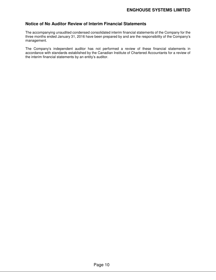# **Notice of No Auditor Review of Interim Financial Statements**

The accompanying unaudited condensed consolidated interim financial statements of the Company for the three months ended January 31, 2016 have been prepared by and are the responsibility of the Company's management.

The Company's independent auditor has not performed a review of these financial statements in accordance with standards established by the Canadian Institute of Chartered Accountants for a review of the interim financial statements by an entity's auditor.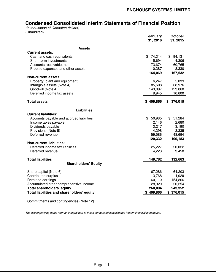# **Condensed Consolidated Interim Statements of Financial Position**

(in thousands of Canadian dollars) (Unaudited)

|                                            | January<br>31, 2016 | October<br>31, 2015 |
|--------------------------------------------|---------------------|---------------------|
| Assets                                     |                     |                     |
| <b>Current assets:</b>                     |                     |                     |
| Cash and cash equivalents                  | 74,314<br>\$        | \$94,131            |
| Short-term investments                     | 5,694               | 4,306               |
| Accounts receivable, net                   | 73,674              | 60,765              |
| Prepaid expenses and other assets          | 10,387              | 8,330               |
|                                            | 164,069             | 167,532             |
| <b>Non-current assets:</b>                 |                     |                     |
| Property, plant and equipment              | 6,247               | 5,039               |
| Intangible assets (Note 4)                 | 85,608              | 68,976              |
| Goodwill (Note 4)                          | 143,997             | 123,868             |
| Deferred income tax assets                 | 9,945               | 10,600              |
| <b>Total assets</b>                        | \$409,866           | 376,015<br>S.       |
|                                            |                     |                     |
| <b>Liabilities</b>                         |                     |                     |
| <b>Current liabilities:</b>                |                     |                     |
| Accounts payable and accrued liabilities   | \$<br>50,985        | \$<br>51,284        |
| Income taxes payable                       | 2,146               | 2,680               |
| Dividends payable                          | 3,217               | 3,190               |
| Provisions (Note 5)<br>Deferred revenue    | 4,398               | 3,335               |
|                                            | 59,586<br>120,332   | 48,694<br>109,183   |
| <b>Non-current liabilities:</b>            |                     |                     |
| Deferred income tax liabilities            | 25,227              | 20,022              |
| Deferred revenue                           | 4,223               | 3,458               |
|                                            |                     |                     |
| <b>Total liabilities</b>                   | 149,782             | 132,663             |
| <b>Shareholders' Equity</b>                |                     |                     |
| Share capital (Note 6)                     | 67,286              | 64,203              |
| Contributed surplus                        | 3,768               | 4,029               |
| Retained earnings                          | 160,110             | 154,866             |
| Accumulated other comprehensive income     | 28,920              | 20,254              |
| Total shareholders' equity                 | 260,084             | 243,352             |
| Total liabilities and shareholders' equity | \$409,866           | \$376,015           |
|                                            |                     |                     |

Commitments and contingencies (Note 12)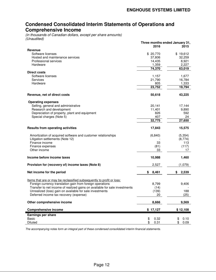# **Condensed Consolidated Interim Statements of Operations and Comprehensive Income**

(in thousands of Canadian dollars, except per share amounts) (Unaudited)

|                                                                            | Three months ended January 31, |              |  |  |
|----------------------------------------------------------------------------|--------------------------------|--------------|--|--|
|                                                                            | 2016                           | 2015         |  |  |
| Revenue<br>Software licenses                                               | \$20,770                       | \$19,612     |  |  |
| Hosted and maintenance services                                            | 37,806                         | 32,259       |  |  |
| Professional services                                                      | 14,435                         | 8,921        |  |  |
| Hardware                                                                   | 1,359                          | 2,227        |  |  |
|                                                                            | 74,370                         | 63,019       |  |  |
| <b>Direct costs</b>                                                        |                                |              |  |  |
| Software licenses                                                          | 1,157                          | 1,677        |  |  |
| <b>Services</b>                                                            | 21,790                         | 16,784       |  |  |
| Hardware                                                                   | 805                            | 1,333        |  |  |
|                                                                            | 23,752                         | 19,794       |  |  |
|                                                                            |                                |              |  |  |
| Revenue, net of direct costs                                               | 50,618                         | 43,225       |  |  |
|                                                                            |                                |              |  |  |
| <b>Operating expenses</b>                                                  |                                |              |  |  |
| Selling, general and administrative                                        | 20,141                         | 17,144       |  |  |
| Research and development<br>Depreciation of property, plant and equipment  | 11,401<br>826                  | 9,890<br>592 |  |  |
| Special charges (Note 5)                                                   | 407                            | 24           |  |  |
|                                                                            | 32,775                         | 27,650       |  |  |
|                                                                            |                                |              |  |  |
| <b>Results from operating activities</b>                                   | 17,843                         | 15,575       |  |  |
| Amortization of acquired software and customer relationships               | (6, 840)                       | (5, 354)     |  |  |
| Litigation settlements (Note 12)                                           |                                | (8,774)      |  |  |
| Finance income                                                             | 33                             | 113          |  |  |
| Finance expenses                                                           | (81)                           | (117)        |  |  |
| Other income                                                               | 33                             | 17           |  |  |
| Income before income taxes                                                 | 10,988                         | 1,460        |  |  |
|                                                                            |                                |              |  |  |
| Provision for (recovery of) income taxes (Note 8)                          | 2,527                          | (1,079)      |  |  |
| Net income for the period                                                  | 8,461<br>S                     | 2,539<br>\$  |  |  |
| Items that are or may be reclassified subsequently to profit or loss:      |                                |              |  |  |
| Foreign currency translation gain from foreign operations                  | 8,799                          | 9,406        |  |  |
| Transfer to net income of realized gains on available for sale investments | (14)                           |              |  |  |
| Unrealized (loss) gain on available for sale investments                   | (139)                          | 188          |  |  |
| Deferred income tax recovery (expense)                                     | 20                             | (25)         |  |  |
|                                                                            |                                |              |  |  |
| Other comprehensive income                                                 | 8,666                          | 9,569        |  |  |
| <b>Comprehensive income</b>                                                | \$17,127                       | \$12,108     |  |  |
| Earnings per share                                                         |                                |              |  |  |
| Basic                                                                      | \$<br>0.32                     | \$<br>0.10   |  |  |
| Diluted                                                                    | \$<br>0.31                     | \$<br>0.09   |  |  |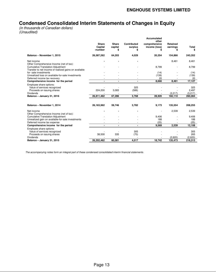# **Condensed Consolidated Interim Statements of Changes in Equity**

(in thousands of Canadian dollars) (Unaudited)

|                                                                                                   |                                    |                               |                        | <b>Accumulated</b><br>other    |                      |          |
|---------------------------------------------------------------------------------------------------|------------------------------------|-------------------------------|------------------------|--------------------------------|----------------------|----------|
|                                                                                                   | <b>Share</b><br>Capital<br>-number | <b>Share</b><br>capital<br>\$ | Contributed<br>surplus | comprehensive<br>income (loss) | Retained<br>earnings | Total    |
| Balance - November 1, 2015                                                                        | 26,587,262                         | 64,203                        | 4,029                  | 20,254                         | 154,866              | 243,352  |
| Net income<br>Other Comprehensive Income (net of tax):                                            |                                    |                               |                        |                                | 8,461                | 8,461    |
| <b>Cumulative Translation Adjustment</b><br>Transfer to net income of realized gains on available |                                    |                               |                        | 8,799                          |                      | 8,799    |
| for-sale investments                                                                              |                                    |                               |                        | (14)                           |                      | (14)     |
| Unrealized loss on available-for-sale investments                                                 |                                    |                               |                        | (139)                          |                      | (139)    |
| Deferred income tax recovery                                                                      |                                    |                               |                        | 20                             |                      | 20       |
| Comprehensive income for the period                                                               |                                    | $\blacksquare$                | $\blacksquare$         | 8,666                          | 8,461                | 17,127   |
| Employee share options:                                                                           |                                    |                               |                        |                                |                      |          |
| Value of services recognized                                                                      |                                    |                               | 325                    |                                |                      | 325      |
| Proceeds on issuing shares                                                                        | 224,200                            | 3,083                         | (586)                  |                                |                      | 2,497    |
| <b>Dividends</b>                                                                                  |                                    |                               |                        |                                | (3, 217)             | (3, 217) |
| Balance - January 31, 2016                                                                        | 26.811.462                         | 67,286                        | 3,768                  | 28,920                         | 160,110              | 260,084  |
| Balance - November 1, 2014                                                                        | 26,163,962                         | 59,746                        | 3,782                  | 9,173                          | 135,554              | 208,255  |
| Net income<br>Other Comprehensive Income (net of tax):                                            |                                    |                               |                        |                                | 2,539                | 2,539    |
| <b>Cumulative Translation Adjustment</b>                                                          |                                    |                               |                        | 9,406                          |                      | 9,406    |
| Unrealized gain on available-for-sale investments                                                 |                                    |                               |                        | 188                            |                      | 188      |
| Deferred income tax expense                                                                       |                                    |                               |                        | (25)                           |                      | (25)     |
| Comprehensive income for the period                                                               |                                    |                               |                        | 9,569                          | 2,539                | 12,108   |
| Employee share options:                                                                           |                                    |                               |                        |                                |                      |          |
| Value of services recognized                                                                      |                                    |                               | 305                    |                                |                      | 305      |
| Proceeds on issuing shares                                                                        | 38,500                             | 335                           | (70)                   |                                |                      | 265      |
| Dividends                                                                                         |                                    |                               |                        |                                | (2,620)              | (2,620)  |
| Balance - January 31, 2015                                                                        | 26,202,462                         | 60.081                        | 4.017                  | 18,742                         | 135,473              | 218,313  |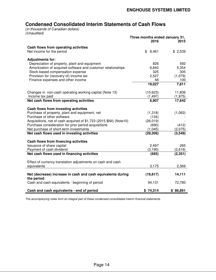# **Condensed Consolidated Interim Statements of Cash Flows**

(in thousands of Canadian dollars) (Unaudited)

|                                                                                        | Three months ended January 31,<br>2016 | 2015         |
|----------------------------------------------------------------------------------------|----------------------------------------|--------------|
| Cash flows from operating activities<br>Net income for the period                      | \$<br>8,461                            | \$2,539      |
|                                                                                        |                                        |              |
| <b>Adjustments for:</b>                                                                |                                        |              |
| Depreciation of property, plant and equipment                                          | 826                                    | 592          |
| Amortization of acquired software and customer relationships                           | 6,840                                  | 5,354        |
| Stock-based compensation expense                                                       | 325                                    | 305          |
| Provision for (recovery of) income tax                                                 | 2,527                                  | (1,079)      |
| Finance expenses and other income                                                      | 48<br>19,027                           | 100<br>7,811 |
|                                                                                        |                                        |              |
| Changes in non-cash operating working capital (Note 13)                                | (10,623)                               | 11,806       |
| Income tax paid                                                                        | (1, 497)                               | (1, 975)     |
| Net cash flows from operating activities                                               | 6,907                                  | 17,642       |
|                                                                                        |                                        |              |
| Cash flows from investing activities<br>Purchase of property, plant and equipment, net | (1,318)                                | (1,062)      |
| Purchase of other software                                                             | (134)                                  |              |
| Acquisitions, net of cash acquired of \$1,723 (2015 \$Nil) (Note10)                    | (26, 019)                              |              |
| Purchase consideration for prior period acquisitions                                   | (690)                                  | (412)        |
| Net purchase of short-term investments                                                 | (1,045)                                | (2,075)      |
| Net cash flows used in investing activities                                            | (29, 206)                              | (3, 549)     |
|                                                                                        |                                        |              |
| Cash flows from financing activities<br>Issuance of share capital                      | 2,497                                  | 265          |
| Payment of cash dividend                                                               | (3, 190)                               | (2,616)      |
| Net cash flows used in financing activities                                            | (693)                                  | (2, 351)     |
|                                                                                        |                                        |              |
| Effect of currency translation adjustments on cash and cash                            |                                        |              |
| equivalents                                                                            | 3,175                                  | 2,369        |
| Net (decrease) increase in cash and cash equivalents during<br>the period              | (19, 817)                              | 14,111       |
| Cash and cash equivalents - beginning of period                                        | 94,131                                 | 72,780       |
|                                                                                        |                                        |              |
| Cash and cash equivalents - end of period                                              | \$74,314                               | \$86,891     |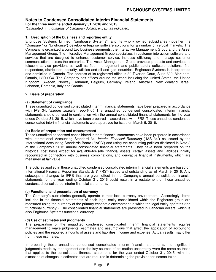**For the three months ended January 31, 2016 and 2015** 

(Unaudited, in thousands of Canadian dollars, except as indicated)

# **1. Description of the business and reporting entity**

Enghouse Systems Limited ("Enghouse Systems") and its wholly owned subsidiaries (together the "Company" or "Enghouse") develop enterprise software solutions for a number of vertical markets. The Company is organized around two business segments: the Interactive Management Group and the Asset Management Group. The Interactive Management Group specializes in customer interaction software and services that are designed to enhance customer service, increase efficiency and manage customer communications across the enterprise. The Asset Management Group provides products and services to telecom service providers as well as fleet management and public safety software solutions, first responders, distribution, security, utilities and oil and gas industries. Enghouse Systems is incorporated and domiciled in Canada. The address of its registered office is 80 Tiverton Court, Suite 800, Markham, Ontario, L3R 0G4. The Company has offices around the world including the United States, the United Kingdom, Sweden, Norway, Denmark, Belgium, Germany, Ireland, Australia, New Zealand, Israel, Lebanon, Romania, Italy and Croatia.

# **2. Basis of preparation**

# **(a) Statement of compliance**

These unaudited condensed consolidated interim financial statements have been prepared in accordance with IAS 34, 'Interim financial reporting'. The unaudited condensed consolidated interim financial statements should be read in conjunction with the annual consolidated financial statements for the year ended October 31, 2015, which have been prepared in accordance with IFRS. These unaudited condensed consolidated interim financial statements were approved for issue on March 9, 2016.

# **(b) Basis of preparation and measurement**

These unaudited condensed consolidated interim financial statements have been prepared in accordance with International Accounting Standard 34, Interim Financial Reporting ("IAS 34") as issued by the International Accounting Standards Board ("IASB") and using the accounting policies disclosed in Note 3 of the Company's 2015 annual consolidated financial statements. They have been prepared on the historical cost basis except for available-for-sale financial assets, certain assets and liabilities initially recognized in connection with business combinations, and derivative financial instruments, which are measured at fair value.

The policies applied in these unaudited condensed consolidated interim financial statements are based on International Financial Reporting Standards ("IFRS") issued and outstanding as of March 9, 2016. Any subsequent changes to IFRS that are given effect in the Company's annual consolidated financial statements for the year ending October 31, 2016 could result in a restatement of these unaudited condensed consolidated interim financial statements.

# **(c) Functional and presentation of currency**

The Company's subsidiaries generally operate in their local currency environment. Accordingly, items included in the financial statements of each legal entity consolidated within the Enghouse group are measured using the currency of the primary economic environment in which the legal entity operates (the "functional currency"). The consolidated financial statements are presented in Canadian dollars, which is also Enghouse Systems functional currency.

# **(d) Use of estimates and judgments**

The preparation of the unaudited condensed consolidated interim financial statements requires management to make judgments, estimates and assumptions that affect the application of accounting policies and the reported amounts of assets and liabilities, income and expense. Actual results may differ from these estimates.

In preparing these unaudited condensed consolidated interim financial statements, the significant judgments made by management and the key sources of estimation uncertainty were the same as those that applied to the consolidated financial statements for the year ended October 31, 2015, with the exception of changes in estimates that are required in determining the provision for income taxes.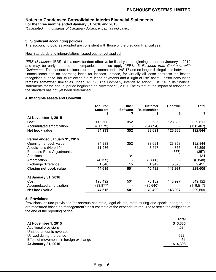**For the three months ended January 31, 2016 and 2015** 

(Unaudited, in thousands of Canadian dollars, except as indicated)

# **3. Significant accounting policies**

The accounting policies adopted are consistent with those of the previous financial year.

# New Standards and interpretations issued but not yet applied

IFRS 16 Leases - IFRS 16 is a new standard effective for fiscal years beginning on or after January 1, 2019 and may be early adopted for companies that also apply "IFRS 15 Revenue from Contracts with Customers". The standard replaces current guidance under IAS 17 and no longer distinguishes between a finance lease and an operating lease for lessees. Instead, for virtually all lease contracts the lessee recognises a lease liability reflecting future lease payments and a 'right-of-use' asset. Lessor accounting remains somewhat similar as under IAS 17. The Company intends to adopt IFRS 16 in its financial statements for the annual period beginning on November 1, 2019. The extent of the impact of adoption of the standard has not yet been determined.

# **4. Intangible assets and Goodwill**

|                                   | <b>Acquired</b><br><b>Software</b> | Other<br><b>Software</b> | <b>Customer</b><br><b>Relationships</b> | Goodwill | <b>Total</b> |
|-----------------------------------|------------------------------------|--------------------------|-----------------------------------------|----------|--------------|
|                                   | S                                  | S                        | J.                                      | S        | \$           |
| At November 1, 2015               |                                    |                          |                                         |          |              |
| Cost                              | 116,506                            | 352                      | 68,585                                  | 123,868  | 309,311      |
| Accumulated amortization          | (81,573)                           |                          | (34,894)                                |          | (116,467)    |
| Net book value                    | 34,933                             | 352                      | 33,691                                  | 123,868  | 192,844      |
| Period ended January 31, 2016     |                                    |                          |                                         |          |              |
| Opening net book value            | 34,933                             | 352                      | 33,691                                  | 123,868  | 192,844      |
| Acquisitions (Note 10)            | 11,986                             |                          | 7,547                                   | 14,866   | 34,399       |
| <b>Purchase Price Adjustments</b> |                                    |                          |                                         | (357)    | (357)        |
| Additions                         |                                    | 134                      |                                         |          | 134          |
| Amortization                      | (4, 152)                           |                          | (2,688)                                 |          | (6, 840)     |
| Exchange difference               | 1,848                              | 15                       | 1,942                                   | 5,620    | 9,425        |
| <b>Closing net book value</b>     | 44,615                             | 501                      | 40,492                                  | 143,997  | 229,605      |
| At January 31, 2016               |                                    |                          |                                         |          |              |
| Cost                              | 128,492                            | 501                      | 76,132                                  | 143,997  | 349,122      |
| Accumulated amortization          | (83,877)                           |                          | (35,640)                                |          | (119, 517)   |
| Net book value                    | 44,615                             | 501                      | 40,492                                  | 143,997  | 229,605      |

# **5. Provisions**

Provisions include provisions for onerous contracts, legal claims, restructuring and special charges, and are measured based on management's best estimate of the expenditure required to settle the obligation at the end of the reporting period.

| At November 1, 2015                     | <b>Total</b><br>\$3,335 |
|-----------------------------------------|-------------------------|
| Additional provisions                   | 1.534                   |
| Unused amounts reversed                 |                         |
| Utilized during the period              | (622)                   |
| Effect of movements in foreign exchange | 151                     |
| At January 31, 2016                     | 4,398                   |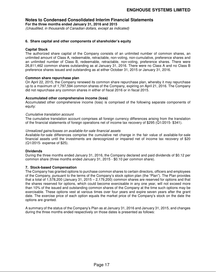**For the three months ended January 31, 2016 and 2015** 

(Unaudited, in thousands of Canadian dollars, except as indicated)

# **6. Share capital and other components of shareholder's equity**

# **Capital Stock**

The authorized share capital of the Company consists of an unlimited number of common shares, an unlimited amount of Class A, redeemable, retractable, non-voting, non-cumulative, preference shares and an unlimited number of Class B, redeemable, retractable, non-voting, preference shares. There were 26,811,462 common shares outstanding as at January 31, 2016. There were no Class A and no Class B preference shares issued and outstanding as at either October 31, 2015 or January 31, 2016.

# **Common share repurchase plan**

On April 22, 2015, the Company renewed its common share repurchase plan, whereby it may repurchase up to a maximum of 1,797,594 common shares of the Company, expiring on April 21, 2016. The Company did not repurchase any common shares in either of fiscal 2016 or in fiscal 2015.

# **Accumulated other comprehensive income (loss)**

Accumulated other comprehensive income (loss) is comprised of the following separate components of equity:

# Cumulative translation account

The cumulative translation account comprises all foreign currency differences arising from the translation of the financial statements of foreign operations net of income tax recovery of \$295 (Q1/2015- \$341).

# Unrealized gains/losses on available-for-sale financial assets

Available-for-sale differences comprise the cumulative net change in the fair value of available-for-sale financial assets until the investments are derecognized or impaired net of income tax recovery of \$20 (Q1/2015- expense of \$25).

# **Dividends**

During the three months ended January 31, 2016, the Company declared and paid dividends of \$0.12 per common share (three months ended January 31, 2015 - \$0.10 per common share).

# **7. Stock-based Compensation**

The Company has granted options to purchase common shares to certain directors, officers and employees of the Company, pursuant to the terms of the Company's stock option plan (the "Plan"). The Plan provides that a total of 1,578,200 (January 31, 2015 – 2,179,200) common shares are reserved for options and that the shares reserved for options, which could become exercisable in any one year, will not exceed more than 10% of the issued and outstanding common shares of the Company at the time such options may be exercisable. These options vest at various times over four years and expire seven years after the grant date. The exercise price of each option equals the market price of the Company's stock on the date the options are granted.

A summary of the status of the Company's Plan as at January 31, 2016 and January 31, 2015, and changes during the three months ended respectively on those dates is presented as follows: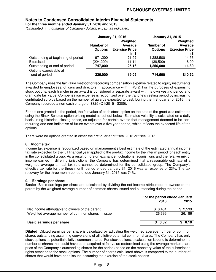**For the three months ended January 31, 2016 and 2015** 

(Unaudited, in thousands of Canadian dollars, except as indicated)

|                                    | <b>January 31, 2016</b> |                       | <b>January 31, 2015</b> |                       |  |
|------------------------------------|-------------------------|-----------------------|-------------------------|-----------------------|--|
|                                    |                         | Weighted              |                         | Weighted              |  |
|                                    | Number of               | Average               | Number of               | Average               |  |
|                                    | <b>Options</b>          | <b>Exercise Price</b> | <b>Options</b>          | <b>Exercise Price</b> |  |
|                                    |                         | in \$                 |                         | in \$                 |  |
| Outstanding at beginning of period | 971,200                 | 21.92                 | 1,288,500               | 14.56                 |  |
| Exercised                          | (224, 200)              | 11.14                 | (38, 500)               | 6.90                  |  |
| Outstanding at end of period       | 747,000                 | 25.16                 | 1,250,000               | 14.80                 |  |
| Options exercisable at             |                         |                       |                         |                       |  |
| end of period                      | 326,000                 | 19.05                 | 714,500                 | \$10.52               |  |

The Company uses the fair value method for recording compensation expense related to equity instruments awarded to employees, officers and directors in accordance with IFRS 2. For the purposes of expensing stock options, each tranche in an award is considered a separate award with its own vesting period and grant date fair value. Compensation expense is recognized over the tranche's vesting period by increasing contributed surplus based on the number of awards expected to vest. During the first quarter of 2016, the Company recorded a non-cash charge of \$325 (Q1/2015 - \$305).

For options granted in the period, the fair value of each stock option on the date of the grant was estimated using the Black-Scholes option pricing model as set out below. Estimated volatility is calculated on a daily basis using historical closing prices, as adjusted for certain events that management deemed to be nonrecurring and non-indicative of future events over a five year period, which reflects the expected life of the options.

There were no options granted in either the first quarter of fiscal 2016 or fiscal 2015.

# **8. Income tax**

Income tax expense is recognized based on management's best estimate of the estimated annual income tax rate expected for the full financial year applied to the pre-tax income for the interim period for each entity in the consolidated group. As a result of foreign exchange fluctuations, acquisitions and the relative mix of income earned in differing jurisdictions, the Company has determined that a reasonable estimate of a weighted average annual tax rate cannot be determined for the consolidated group. The Company's effective tax rate for the three month period ended January 31, 2016 was an expense of 23%. The tax recovery for the three month period ended January 31, 2015 was 74%.

# **9. Earnings per share:**

**Basic:** Basic earnings per share are calculated by dividing the net income attributable to owners of the parent by the weighted average number of common shares issued and outstanding during the period.

|                                                   | For the period ended January |         |  |
|---------------------------------------------------|------------------------------|---------|--|
|                                                   | 2016                         | 2015    |  |
| Net income attributable to owners of the parent   | \$8.461                      | \$2,539 |  |
| Weighted average number of common shares in issue | 26.696                       | 26,186  |  |
|                                                   |                              |         |  |
| Basic earnings per share                          | \$0.32                       | \$0.10  |  |

**Diluted:** Diluted earnings per share is calculated by adjusting the weighted average number of common shares outstanding assuming conversions of all dilutive potential common shares. The Company has only stock options as potential dilutive common shares. For stock options, a calculation is done to determine the number of shares that could have been acquired at fair value (determined using the average market share price of the Company's outstanding shares for the period) based on the monetary value of the subscription rights attached to the stock options. The number of shares calculated above is compared to the number of shares that would have been issued assuming the exercise of the stock options.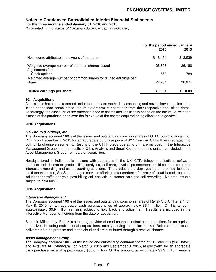**For the three months ended January 31, 2016 and 2015** 

(Unaudited, in thousands of Canadian dollars, except as indicated)

|                                                                                      | For the period ended January<br>2016 | 2015          |
|--------------------------------------------------------------------------------------|--------------------------------------|---------------|
| Net income attributable to owners of the parent                                      | \$8,461                              | \$2,539       |
| Weighted average number of common shares issued<br>Adjustments for:<br>Stock options | 26,696<br>558                        | 26,186<br>788 |
| Weighted average number of common shares for diluted earnings per<br>share           | 27,254                               | 26,974        |
| Diluted earnings per share                                                           | \$0.31                               | 0.09<br>S.    |

# **10. Acquisitions**

Acquisitions have been recorded under the purchase method of accounting and results have been included in the condensed consolidated interim statements of operations from their respective acquisition dates. Accordingly, the allocation of the purchase price to assets and liabilities is based on the fair value, with the excess of the purchase price over the fair value of the assets acquired being allocated to goodwill.

# **2016 Acquisitions:**

# **CTI Group (Holdings) Inc.**

The Company acquired 100% of the issued and outstanding common shares of CTI Group (Holdings) Inc. ("CTI") on December 7, 2015 for an aggregate purchase price of \$27.7 million. CTI will be integrated into both of Enghouse's segments. Results of the CTI Proteus operating unit are included in the Interactive Management Group and the results of CTI's Analysis and SmartRecord operating units are included in the Asset Management Group from date of acquisition.

Headquartered in Indianapolis, Indiana with operations in the UK, CTI's telecommunications software products include carrier grade billing analytics, self-care, invoice presentment, multi-channel customer interaction recording and call accounting solutions. The products are deployed as on-premise licensed, multi-tenant hosted, SaaS or managed services offerings offer carriers a full array of cloud-based, real-time solutions for traffic analysis, post-billing call analysis, customer care and call recording . No amounts are subject to hold back.

# **2015 Acquisitions:**

# **Interactive Management**

The Company acquired 100% of the issued and outstanding common shares of Reitek S.p.A ("Reitek") on May 8, 2015 for an aggregate cash purchase price of approximately \$6.1 million. Of this amount, approximately \$0.9 million remains subject to hold back and adjustment. Results are included in the Interactive Management Group from the date of acquisition.

Based in Milan, Italy, Reitek is a leading provider of omni‐channel contact center solutions for enterprises of all sizes including multinational corporations, mostly serving the Italian market. Reitek's products are delivered both on premise and in the cloud and are distributed through a reseller channel.

# **Asset Management Group**

The Company acquired 100% of the issued and outstanding common shares of CDRator A/S ("CDRator") and Aktavara AB ("Aktavara") on March 3, 2015 and September 8, 2015, respectively, for an aggregate cash purchase price of approximately \$30.6 million. Of this amount, approximately \$3.3 million remains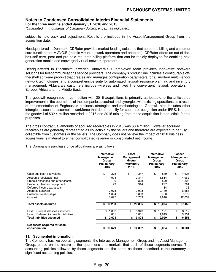# **Notes to Condensed Consolidated Interim Financial Statements For the three months ended January 31, 2016 and 2015**

(Unaudited, in thousands of Canadian dollars, except as indicated)

subject to hold back and adjustment. Results are included in the Asset Management Group from the acquisition date.

Headquartered in Denmark, CDRator provides market-leading solutions that automate billing and customer care functions for MVNO/E (mobile virtual network operators and enablers). CDRator offers an out-of-thebox self-care, post and pre-paid real time billing platform that can be rapidly deployed for enabling next generation mobile and converged virtual network operators.

Headquartered in Stockholm, Sweden, Aktavara's 19‐employee team provides innovative software solutions for telecommunications service providers. The company's product line includes a configurable offthe‐shelf software product that creates and manages configuration parameters for all modern multi‐vendor network technologies, and a comprehensive suite for automated network resource planning and inventory management. Aktavara's customers include wireless and fixed line convergent network operators in Europe, Africa and the Middle East.

The goodwill recognized in connection with 2016 acquisitions is primarily attributable to the anticipated improvement in the operations of the companies acquired and synergies with existing operations as a result of implementation of Enghouse's business strategies and methodologies. Goodwill also includes other intangibles such as assembled workforce that do not qualify for separate recognition under IFRS. None of the goodwill of \$32.4 million recorded in 2016 and 2015 arising from these acquisition is deductible for tax purposes.

The gross contractual amounts of acquired receivables in 2016 was \$3.4 million. However acquired receivables are generally represented as collectible by the sellers and therefore are expected to be fully collectible from customers or the sellers. The Company does not believe the impact of 2016 business acquisitions is material to either consolidated revenue or consolidated net income.

The Company's purchase price allocations are as follows:

|                                               | Interactive<br>Management<br>Group<br>Preliminary<br>2016 | Asset<br><b>Management</b><br>Group<br>Preliminary<br>2016 |        | Interactive<br>Management<br>Group<br>Preliminary<br>2015 |    | Asset<br><b>Management</b><br>Group<br>Preliminary<br>2015 |
|-----------------------------------------------|-----------------------------------------------------------|------------------------------------------------------------|--------|-----------------------------------------------------------|----|------------------------------------------------------------|
| Cash and cash equivalents                     | \$<br>375                                                 | \$                                                         | 1,347  | \$<br>849                                                 | \$ | 4,626                                                      |
| Accounts receivable, net                      | 1,004                                                     |                                                            | 2,347  | 5,514                                                     |    | 4,962                                                      |
| Prepaid expenses and other assets             | 6                                                         |                                                            | 328    | 520                                                       |    | 523                                                        |
| Property, plant and equipment                 | 29                                                        |                                                            | 314    | 227                                                       |    | 301                                                        |
| Deferred income tax assets                    |                                                           |                                                            |        | 134                                                       |    | 36                                                         |
| Acquired software                             | 2,078                                                     |                                                            | 9,908  | 2,140                                                     |    | 6,688                                                      |
| Customer relationships                        | 1.694                                                     |                                                            | 5,853  | 3.750                                                     |    | 7,677                                                      |
| Goodwill                                      | 11,097                                                    |                                                            | 3,769  | 4,940                                                     |    | 12,639                                                     |
| <b>Total assets acquired</b>                  | \$<br>16,283                                              | \$                                                         | 23,866 | \$<br>18,074                                              | \$ | 37,452                                                     |
| Current liabilities assumed<br>Less:          | \$<br>1,803                                               | \$                                                         | 5,943  | \$<br>10,171                                              | \$ | 3,617                                                      |
| Deferred income tax liabilities<br>Less:      | 801                                                       |                                                            | 3,861  | 1,849                                                     |    | 3,234                                                      |
| Total liabilities assumed                     | \$2,604                                                   | \$                                                         | 9,804  | \$<br>12,020                                              | \$ | 6,851                                                      |
|                                               |                                                           |                                                            |        |                                                           |    |                                                            |
| Net assets acquired for cash<br>consideration | \$13,679                                                  | S.                                                         | 14,062 | \$<br>6,054                                               | S  | 30,601                                                     |

# **11. Segmented information**

The Company has two operating segments, the Interactive Management Group and the Asset Management Group, based on the nature of the operations and markets that each of these segments serves. The accounting policies followed by these segments are the same as those described in the summary of significant accounting policies.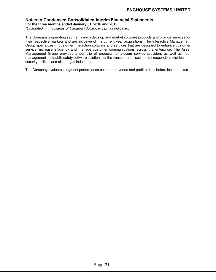# **Notes to Condensed Consolidated Interim Financial Statements For the three months ended January 31, 2016 and 2015**

(Unaudited, in thousands of Canadian dollars, except as indicated)

The Company's operating segments each develop and market software products and provide services for their respective markets and are inclusive of the current year acquisitions. The Interactive Management Group specializes in customer interaction software and services that are designed to enhance customer service, increase efficiency and manage customer communications across the enterprise. The Asset Management Group provides a portfolio of products to telecom service providers as well as fleet management and public safety software solutions for the transportation sector, first responders, distribution, security, utilities and oil and gas industries.

The Company evaluates segment performance based on revenue and profit or loss before income taxes.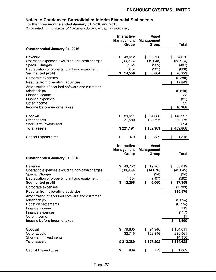**For the three months ended January 31, 2016 and 2015** 

(Unaudited, in thousands of Canadian dollars, except as indicated)

|                                                | <b>Interactive</b><br><b>Management</b> | <b>Asset</b><br><b>Management</b> |                          |
|------------------------------------------------|-----------------------------------------|-----------------------------------|--------------------------|
|                                                | Group                                   | Group                             | <b>Total</b>             |
| Quarter ended January 31, 2016                 |                                         |                                   |                          |
| Revenue                                        | 48,612<br>\$                            | 25,758<br>\$                      | \$<br>74,370             |
| Operating expenses excluding non-cash charges  | (33, 266)                               | (19, 648)                         | (52, 914)                |
| <b>Special Charges</b>                         | (182)                                   | (225)                             | (407)                    |
| Depreciation of property, plant and equipment  | (605)                                   | (221)                             | (826)                    |
| <b>Segmented profit</b>                        | \$<br>14,559                            | \$<br>5,664                       | \$<br>20,223             |
| Corporate expenses                             |                                         |                                   | (2, 380)                 |
| <b>Results from operating activities</b>       |                                         |                                   | \$<br>17,843             |
| Amortization of acquired software and customer |                                         |                                   |                          |
| relationships                                  |                                         |                                   | (6, 840)                 |
| Finance income                                 |                                         |                                   | 33                       |
| Finance expenses                               |                                         |                                   | (81)                     |
| Other income                                   |                                         |                                   | 33                       |
| Income before income taxes                     |                                         |                                   | \$<br>10,988             |
| Goodwill                                       | \$89,611                                | \$54,386                          | \$143,997                |
| Other assets                                   | 131,580                                 | 128,595                           | 260,175                  |
| Short-term investments                         |                                         |                                   | 5,694                    |
| <b>Total assets</b>                            | \$221,191                               | \$182,981                         | \$409,866                |
| <b>Capital Expenditures</b>                    | \$<br>979                               | \$<br>339                         | \$<br>1,318              |
|                                                |                                         |                                   |                          |
|                                                | <b>Interactive</b>                      | <b>Asset</b>                      |                          |
|                                                | <b>Management</b>                       | <b>Management</b>                 |                          |
|                                                | Group                                   | Group                             | <b>Total</b>             |
| Quarter ended January 31, 2015                 |                                         |                                   |                          |
| Revenue                                        | 43,752<br>\$                            | 19,267<br>\$                      | \$<br>63,019             |
| Operating expenses excluding non-cash charges  | (30, 969)                               | (14,076)                          | (45, 045)                |
| <b>Special Charges</b>                         |                                         | (24)                              | (24)                     |
| Depreciation of property, plant and equipment  | (485)                                   | (107)                             | (592)                    |
| <b>Segmented profit</b>                        | 12,298<br>\$                            | \$<br>5,060                       | \$<br>17,358             |
| Corporate expenses                             |                                         |                                   | (1,783)                  |
| <b>Results from operating activities</b>       |                                         |                                   | \$15,575                 |
| Amortization of acquired software and customer |                                         |                                   |                          |
| relationships                                  |                                         |                                   | (5, 354)                 |
| <b>Litigation settlements</b>                  |                                         |                                   | (8,774)                  |
| Finance income                                 |                                         |                                   | 113                      |
| Finance expenses<br>Other income               |                                         |                                   | (117)<br>17              |
| Income before income taxes                     |                                         |                                   | \$<br>1,460              |
|                                                |                                         |                                   |                          |
| Goodwill                                       | \$79,665                                | \$24,946                          | \$104,611                |
| Other assets                                   | 132,715                                 | 102,346                           | 235,061                  |
| Short-term investments<br><b>Total assets</b>  |                                         |                                   | 14,956                   |
| <b>Capital Expenditures</b>                    | \$212,380<br>\$<br>889                  | \$127,292<br>\$<br>173            | \$354,628<br>\$<br>1,062 |